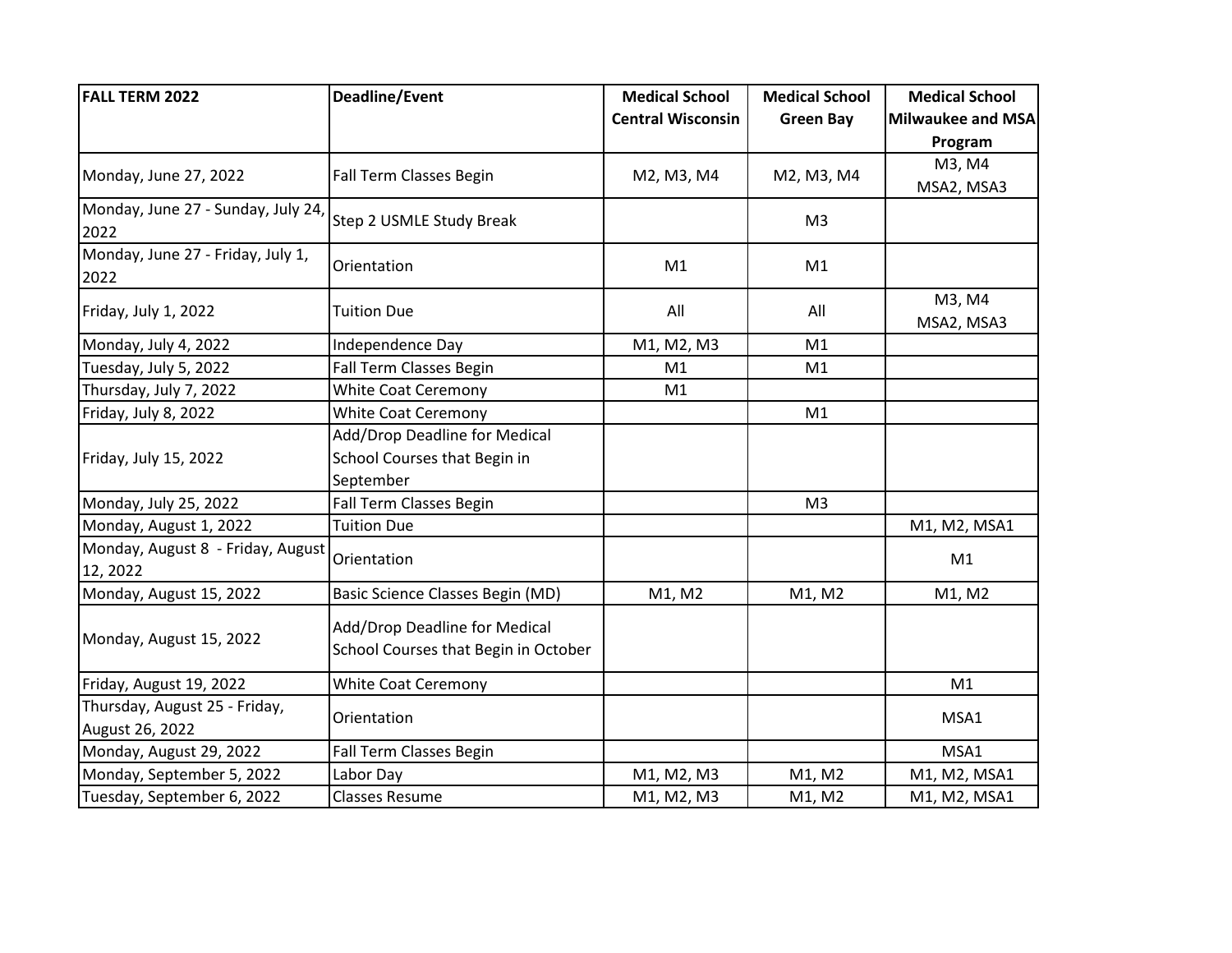| <b>FALL TERM 2022</b>                            | <b>Deadline/Event</b>                                                 | <b>Medical School</b>    | <b>Medical School</b> | <b>Medical School</b> |
|--------------------------------------------------|-----------------------------------------------------------------------|--------------------------|-----------------------|-----------------------|
|                                                  |                                                                       | <b>Central Wisconsin</b> | <b>Green Bay</b>      | Milwaukee and MSA     |
|                                                  |                                                                       |                          |                       | Program               |
| Monday, June 27, 2022                            | Fall Term Classes Begin                                               | M2, M3, M4               | M2, M3, M4            | M3, M4                |
|                                                  |                                                                       |                          |                       | MSA2, MSA3            |
| Monday, June 27 - Sunday, July 24,<br>2022       | <b>Step 2 USMLE Study Break</b>                                       |                          | M <sub>3</sub>        |                       |
| Monday, June 27 - Friday, July 1,<br>2022        | Orientation                                                           | M1                       | M1                    |                       |
| Friday, July 1, 2022                             | <b>Tuition Due</b>                                                    | All                      | All                   | M3, M4<br>MSA2, MSA3  |
| Monday, July 4, 2022                             | Independence Day                                                      | M1, M2, M3               | M1                    |                       |
| Tuesday, July 5, 2022                            | Fall Term Classes Begin                                               | M1                       | M1                    |                       |
| Thursday, July 7, 2022                           | <b>White Coat Ceremony</b>                                            | M1                       |                       |                       |
| Friday, July 8, 2022                             | <b>White Coat Ceremony</b>                                            |                          | M1                    |                       |
|                                                  | Add/Drop Deadline for Medical                                         |                          |                       |                       |
| Friday, July 15, 2022                            | School Courses that Begin in                                          |                          |                       |                       |
|                                                  | September                                                             |                          |                       |                       |
| Monday, July 25, 2022                            | Fall Term Classes Begin                                               |                          | M <sub>3</sub>        |                       |
| Monday, August 1, 2022                           | <b>Tuition Due</b>                                                    |                          |                       | M1, M2, MSA1          |
| Monday, August 8 - Friday, August<br>12, 2022    | Orientation                                                           |                          |                       | M1                    |
| Monday, August 15, 2022                          | Basic Science Classes Begin (MD)                                      | M1, M2                   | M1, M2                | M1, M2                |
| Monday, August 15, 2022                          | Add/Drop Deadline for Medical<br>School Courses that Begin in October |                          |                       |                       |
| Friday, August 19, 2022                          | <b>White Coat Ceremony</b>                                            |                          |                       | M1                    |
| Thursday, August 25 - Friday,<br>August 26, 2022 | Orientation                                                           |                          |                       | MSA1                  |
| Monday, August 29, 2022                          | Fall Term Classes Begin                                               |                          |                       | MSA1                  |
| Monday, September 5, 2022                        | Labor Day                                                             | M1, M2, M3               | M1, M2                | M1, M2, MSA1          |
| Tuesday, September 6, 2022                       | <b>Classes Resume</b>                                                 | M1, M2, M3               | M1, M2                | M1, M2, MSA1          |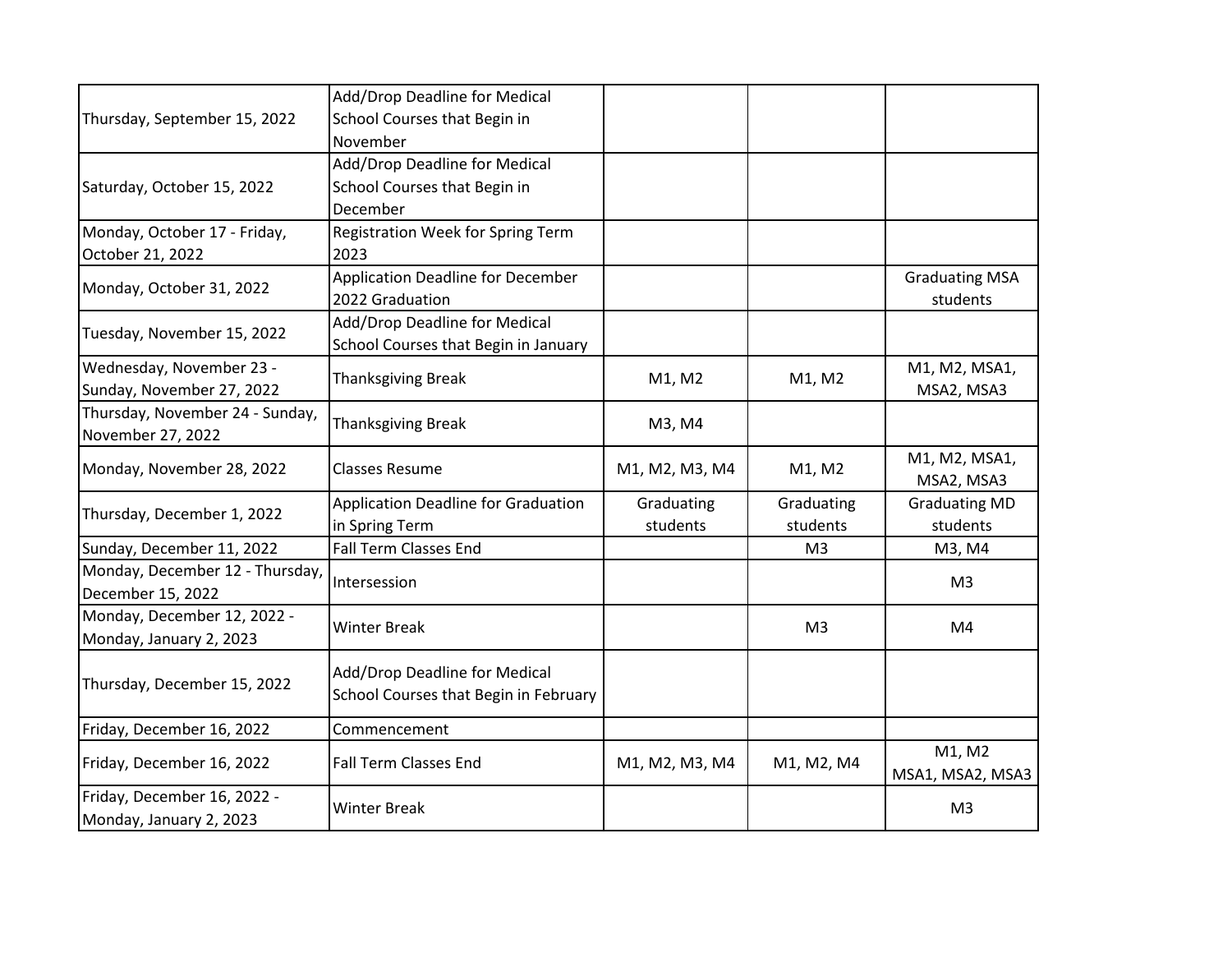| Thursday, September 15, 2022    | Add/Drop Deadline for Medical              |                |                |                       |  |
|---------------------------------|--------------------------------------------|----------------|----------------|-----------------------|--|
|                                 | School Courses that Begin in               |                |                |                       |  |
|                                 | November                                   |                |                |                       |  |
|                                 | Add/Drop Deadline for Medical              |                |                |                       |  |
| Saturday, October 15, 2022      | School Courses that Begin in               |                |                |                       |  |
|                                 | December                                   |                |                |                       |  |
| Monday, October 17 - Friday,    | <b>Registration Week for Spring Term</b>   |                |                |                       |  |
| October 21, 2022                | 2023                                       |                |                |                       |  |
|                                 | <b>Application Deadline for December</b>   |                |                | <b>Graduating MSA</b> |  |
| Monday, October 31, 2022        | 2022 Graduation                            |                |                | students              |  |
|                                 | Add/Drop Deadline for Medical              |                |                |                       |  |
| Tuesday, November 15, 2022      | School Courses that Begin in January       |                |                |                       |  |
| Wednesday, November 23 -        | <b>Thanksgiving Break</b>                  |                | M1, M2         | M1, M2, MSA1,         |  |
| Sunday, November 27, 2022       |                                            | M1, M2         |                | MSA2, MSA3            |  |
| Thursday, November 24 - Sunday, | <b>Thanksgiving Break</b>                  | M3, M4         |                |                       |  |
| November 27, 2022               |                                            |                |                |                       |  |
| Monday, November 28, 2022       | <b>Classes Resume</b>                      | M1, M2, M3, M4 | M1, M2         | M1, M2, MSA1,         |  |
|                                 |                                            |                |                | MSA2, MSA3            |  |
| Thursday, December 1, 2022      | <b>Application Deadline for Graduation</b> | Graduating     | Graduating     | <b>Graduating MD</b>  |  |
|                                 | in Spring Term                             | students       | students       | students              |  |
| Sunday, December 11, 2022       | <b>Fall Term Classes End</b>               |                | M <sub>3</sub> | M3, M4                |  |
| Monday, December 12 - Thursday, | Intersession                               |                |                | M <sub>3</sub>        |  |
| December 15, 2022               |                                            |                |                |                       |  |
| Monday, December 12, 2022 -     | <b>Winter Break</b>                        |                | M <sub>3</sub> | M4                    |  |
| Monday, January 2, 2023         |                                            |                |                |                       |  |
| Thursday, December 15, 2022     | Add/Drop Deadline for Medical              |                |                |                       |  |
|                                 | School Courses that Begin in February      |                |                |                       |  |
|                                 |                                            |                |                |                       |  |
| Friday, December 16, 2022       | Commencement                               |                |                |                       |  |
| Friday, December 16, 2022       | <b>Fall Term Classes End</b>               | M1, M2, M3, M4 | M1, M2, M4     | M1, M2                |  |
|                                 |                                            |                |                | MSA1, MSA2, MSA3      |  |
| Friday, December 16, 2022 -     | <b>Winter Break</b>                        |                |                | M <sub>3</sub>        |  |
| Monday, January 2, 2023         |                                            |                |                |                       |  |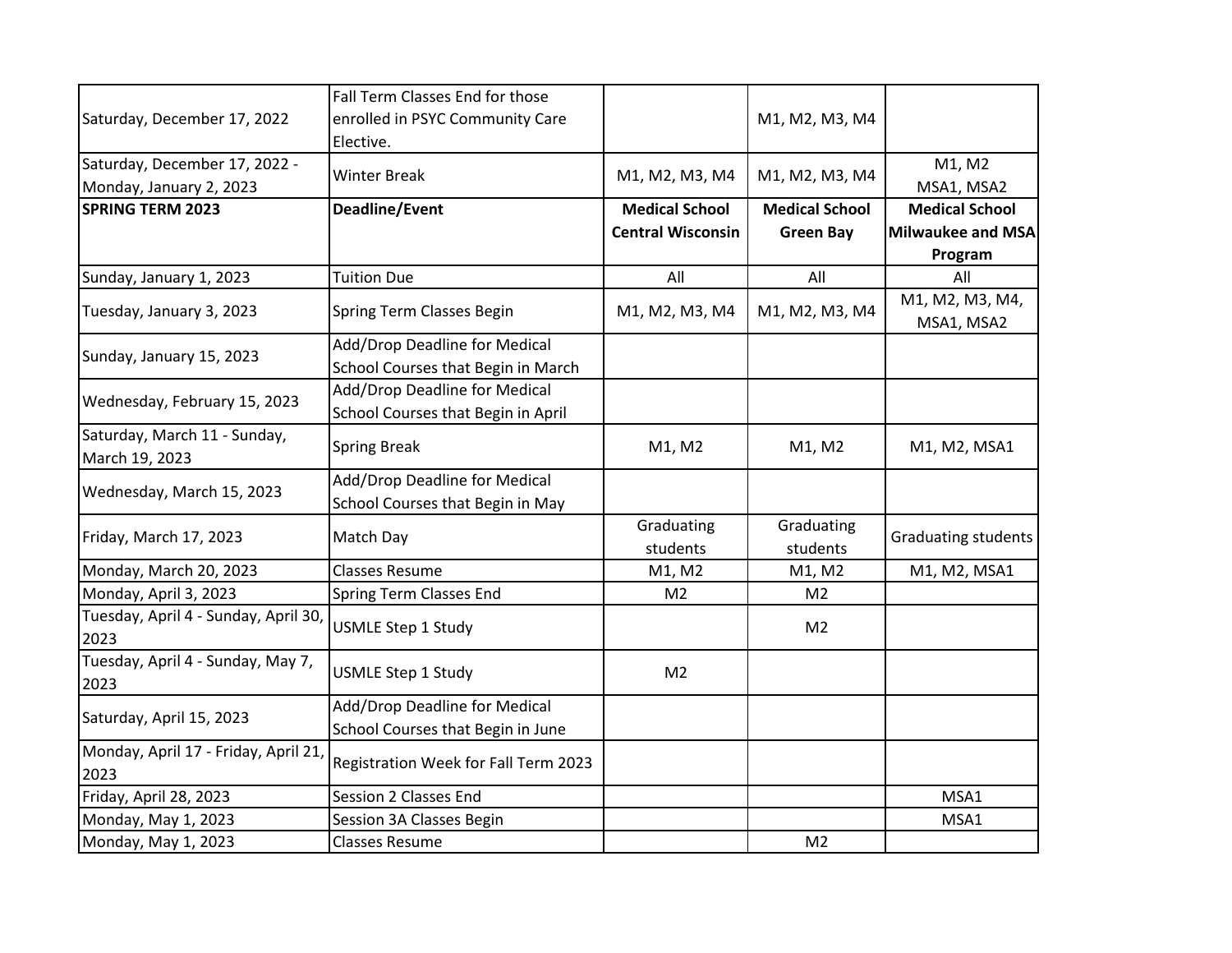|                                              | Fall Term Classes End for those      |                          |                       |                               |
|----------------------------------------------|--------------------------------------|--------------------------|-----------------------|-------------------------------|
| Saturday, December 17, 2022                  | enrolled in PSYC Community Care      |                          |                       |                               |
|                                              |                                      |                          | M1, M2, M3, M4        |                               |
|                                              | Elective.                            |                          |                       |                               |
| Saturday, December 17, 2022 -                | <b>Winter Break</b>                  | M1, M2, M3, M4           | M1, M2, M3, M4        | M1, M2                        |
| Monday, January 2, 2023                      |                                      |                          |                       | MSA1, MSA2                    |
| <b>SPRING TERM 2023</b>                      | Deadline/Event                       | <b>Medical School</b>    | <b>Medical School</b> | <b>Medical School</b>         |
|                                              |                                      | <b>Central Wisconsin</b> | <b>Green Bay</b>      | Milwaukee and MSA             |
|                                              |                                      |                          |                       | Program                       |
| Sunday, January 1, 2023                      | <b>Tuition Due</b>                   | All                      | All                   | All                           |
| Tuesday, January 3, 2023                     | Spring Term Classes Begin            | M1, M2, M3, M4           | M1, M2, M3, M4        | M1, M2, M3, M4,<br>MSA1, MSA2 |
|                                              | Add/Drop Deadline for Medical        |                          |                       |                               |
| Sunday, January 15, 2023                     | School Courses that Begin in March   |                          |                       |                               |
|                                              | Add/Drop Deadline for Medical        |                          |                       |                               |
| Wednesday, February 15, 2023                 | School Courses that Begin in April   |                          |                       |                               |
| Saturday, March 11 - Sunday,                 |                                      |                          |                       |                               |
| March 19, 2023                               | <b>Spring Break</b>                  | M1, M2                   | M1, M2                | M1, M2, MSA1                  |
|                                              | Add/Drop Deadline for Medical        |                          |                       |                               |
| Wednesday, March 15, 2023                    | School Courses that Begin in May     |                          |                       |                               |
|                                              | Match Day                            | Graduating               | Graduating            |                               |
| Friday, March 17, 2023                       |                                      | students                 | students              | Graduating students           |
| Monday, March 20, 2023                       | <b>Classes Resume</b>                | M1, M2                   | M1, M2                | M1, M2, MSA1                  |
| Monday, April 3, 2023                        | Spring Term Classes End              | M <sub>2</sub>           | M <sub>2</sub>        |                               |
| Tuesday, April 4 - Sunday, April 30,<br>2023 | <b>USMLE Step 1 Study</b>            |                          | M <sub>2</sub>        |                               |
| Tuesday, April 4 - Sunday, May 7,<br>2023    | <b>USMLE Step 1 Study</b>            | M <sub>2</sub>           |                       |                               |
| Saturday, April 15, 2023                     | Add/Drop Deadline for Medical        |                          |                       |                               |
|                                              | School Courses that Begin in June    |                          |                       |                               |
| Monday, April 17 - Friday, April 21,         |                                      |                          |                       |                               |
| 2023                                         | Registration Week for Fall Term 2023 |                          |                       |                               |
| Friday, April 28, 2023                       | Session 2 Classes End                |                          |                       | MSA1                          |
| Monday, May 1, 2023                          | Session 3A Classes Begin             |                          |                       | MSA1                          |
| Monday, May 1, 2023                          | <b>Classes Resume</b>                |                          | M <sub>2</sub>        |                               |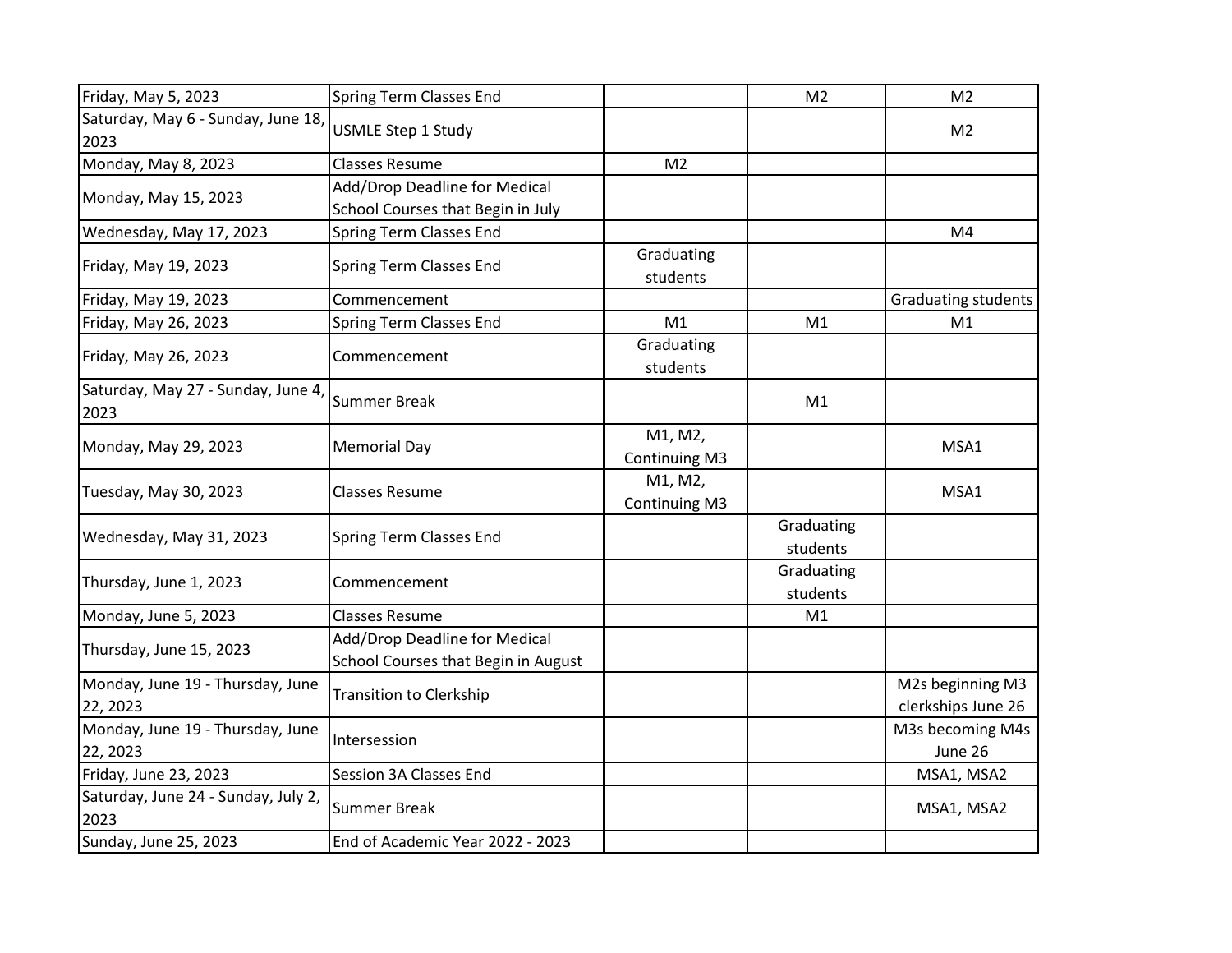| Friday, May 5, 2023                          | <b>Spring Term Classes End</b>                                       |                                 | M <sub>2</sub>         | M <sub>2</sub>                         |
|----------------------------------------------|----------------------------------------------------------------------|---------------------------------|------------------------|----------------------------------------|
| Saturday, May 6 - Sunday, June 18<br>2023    | <b>USMLE Step 1 Study</b>                                            |                                 |                        | M <sub>2</sub>                         |
| Monday, May 8, 2023                          | <b>Classes Resume</b>                                                | M <sub>2</sub>                  |                        |                                        |
| Monday, May 15, 2023                         | Add/Drop Deadline for Medical<br>School Courses that Begin in July   |                                 |                        |                                        |
| Wednesday, May 17, 2023                      | Spring Term Classes End                                              |                                 |                        | M4                                     |
| Friday, May 19, 2023                         | Spring Term Classes End                                              | Graduating<br>students          |                        |                                        |
| Friday, May 19, 2023                         | Commencement                                                         |                                 |                        | <b>Graduating students</b>             |
| Friday, May 26, 2023                         | Spring Term Classes End                                              | M1                              | M1                     | M1                                     |
| Friday, May 26, 2023                         | Commencement                                                         | Graduating<br>students          |                        |                                        |
| Saturday, May 27 - Sunday, June 4,<br>2023   | <b>Summer Break</b>                                                  |                                 | M1                     |                                        |
| Monday, May 29, 2023                         | <b>Memorial Day</b>                                                  | M1, M2,<br><b>Continuing M3</b> |                        | MSA1                                   |
| Tuesday, May 30, 2023                        | <b>Classes Resume</b>                                                | M1, M2,<br>Continuing M3        |                        | MSA1                                   |
| Wednesday, May 31, 2023                      | Spring Term Classes End                                              |                                 | Graduating<br>students |                                        |
| Thursday, June 1, 2023                       | Commencement                                                         |                                 | Graduating<br>students |                                        |
| Monday, June 5, 2023                         | <b>Classes Resume</b>                                                |                                 | M1                     |                                        |
| Thursday, June 15, 2023                      | Add/Drop Deadline for Medical<br>School Courses that Begin in August |                                 |                        |                                        |
| Monday, June 19 - Thursday, June<br>22, 2023 | <b>Transition to Clerkship</b>                                       |                                 |                        | M2s beginning M3<br>clerkships June 26 |
| Monday, June 19 - Thursday, June<br>22, 2023 | Intersession                                                         |                                 |                        | M3s becoming M4s<br>June 26            |
| Friday, June 23, 2023                        | <b>Session 3A Classes End</b>                                        |                                 |                        | MSA1, MSA2                             |
| Saturday, June 24 - Sunday, July 2,<br>2023  | <b>Summer Break</b>                                                  |                                 |                        | MSA1, MSA2                             |
| Sunday, June 25, 2023                        | End of Academic Year 2022 - 2023                                     |                                 |                        |                                        |